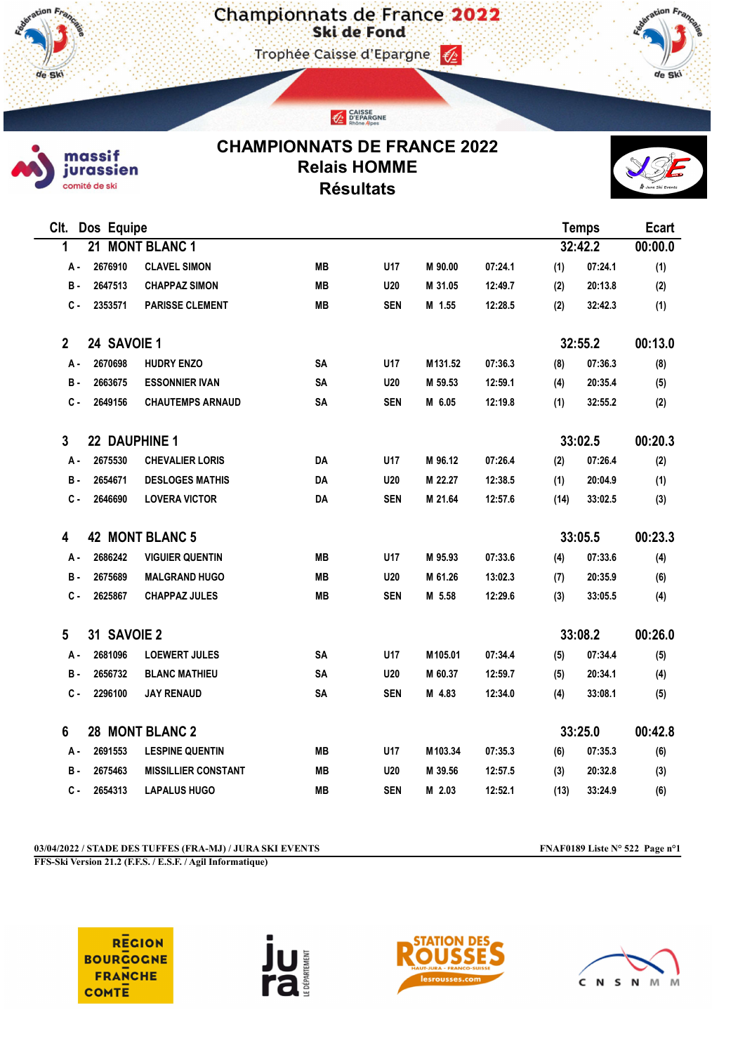Championnats de France 2022

Trophée Caisse d'Epargne





de Sk

## CHAMPIONNATS DE FRANCE 2022 Relais HOMME Résultats

CAISSE<br>D'EPARGNE



| Clt.<br>Dos Equipe            |               |                            |           |            |         |         | <b>Temps</b> |         | <b>Ecart</b> |
|-------------------------------|---------------|----------------------------|-----------|------------|---------|---------|--------------|---------|--------------|
| 1                             | 21            | <b>MONT BLANC 1</b>        |           |            |         |         | 32:42.2      |         | 00:00.0      |
| А -                           | 2676910       | <b>CLAVEL SIMON</b>        | <b>MB</b> | U17        | M 90.00 | 07:24.1 | (1)          | 07:24.1 | (1)          |
| в.                            | 2647513       | <b>CHAPPAZ SIMON</b>       | <b>MB</b> | U20        | M 31.05 | 12:49.7 | (2)          | 20:13.8 | (2)          |
| $c -$                         | 2353571       | <b>PARISSE CLEMENT</b>     | <b>MB</b> | <b>SEN</b> | M 1.55  | 12:28.5 | (2)          | 32:42.3 | (1)          |
| $\overline{2}$<br>24 SAVOIE 1 |               |                            |           |            |         |         | 32:55.2      | 00:13.0 |              |
| А -                           | 2670698       | <b>HUDRY ENZO</b>          | SA        | U17        | M131.52 | 07:36.3 | (8)          | 07:36.3 | (8)          |
| в.                            | 2663675       | <b>ESSONNIER IVAN</b>      | <b>SA</b> | U20        | M 59.53 | 12:59.1 | (4)          | 20:35.4 | (5)          |
| С.                            | 2649156       | <b>CHAUTEMPS ARNAUD</b>    | SA        | <b>SEN</b> | M 6.05  | 12:19.8 | (1)          | 32:55.2 | (2)          |
| 3                             | 22 DAUPHINE 1 |                            |           |            |         |         | 33:02.5      |         | 00:20.3      |
| А -                           | 2675530       | <b>CHEVALIER LORIS</b>     | DA        | U17        | M 96.12 | 07:26.4 | (2)          | 07:26.4 | (2)          |
| в.                            | 2654671       | <b>DESLOGES MATHIS</b>     | DA        | U20        | M 22.27 | 12:38.5 | (1)          | 20:04.9 | (1)          |
| <b>c</b> -                    | 2646690       | <b>LOVERA VICTOR</b>       | DA        | <b>SEN</b> | M 21.64 | 12:57.6 | (14)         | 33:02.5 | (3)          |
| 42 MONT BLANC 5<br>4          |               |                            |           |            |         |         |              | 33:05.5 | 00:23.3      |
| А -                           | 2686242       | <b>VIGUIER QUENTIN</b>     | MВ        | U17        | M 95.93 | 07:33.6 | (4)          | 07:33.6 | (4)          |
| в.                            | 2675689       | <b>MALGRAND HUGO</b>       | <b>MB</b> | U20        | M 61.26 | 13:02.3 | (7)          | 20:35.9 | (6)          |
| <b>c</b> -                    | 2625867       | <b>CHAPPAZ JULES</b>       | <b>MB</b> | <b>SEN</b> | M 5.58  | 12:29.6 | (3)          | 33:05.5 | (4)          |
| 5                             | 31 SAVOIE 2   |                            |           |            |         |         | 33:08.2      |         | 00:26.0      |
| А.                            | 2681096       | <b>LOEWERT JULES</b>       | <b>SA</b> | U17        | M105.01 | 07:34.4 | (5)          | 07:34.4 | (5)          |
| в.                            | 2656732       | <b>BLANC MATHIEU</b>       | SA        | U20        | M 60.37 | 12:59.7 | (5)          | 20:34.1 | (4)          |
| с.                            | 2296100       | <b>JAY RENAUD</b>          | SA        | <b>SEN</b> | M 4.83  | 12:34.0 | (4)          | 33:08.1 | (5)          |
| 6<br>28 MONT BLANC 2          |               |                            |           |            |         |         | 33:25.0      | 00:42.8 |              |
| А -                           | 2691553       | <b>LESPINE QUENTIN</b>     | <b>MB</b> | U17        | M103.34 | 07:35.3 | (6)          | 07:35.3 | (6)          |
| в.                            | 2675463       | <b>MISSILLIER CONSTANT</b> | MВ        | <b>U20</b> | M 39.56 | 12:57.5 | (3)          | 20:32.8 | (3)          |
| с.                            | 2654313       | <b>LAPALUS HUGO</b>        | <b>MB</b> | <b>SEN</b> | M 2.03  | 12:52.1 | (13)         | 33:24.9 | (6)          |

03/04/2022 / STADE DES TUFFES (FRA-MJ) / JURA SKI EVENTS FNAF0189 Liste N° 522 Page n°1

FFS-Ski Version 21.2 (F.F.S. / E.S.F. / Agil Informatique)

**REGION BOURGOGNE FRANCHE COMTE** 





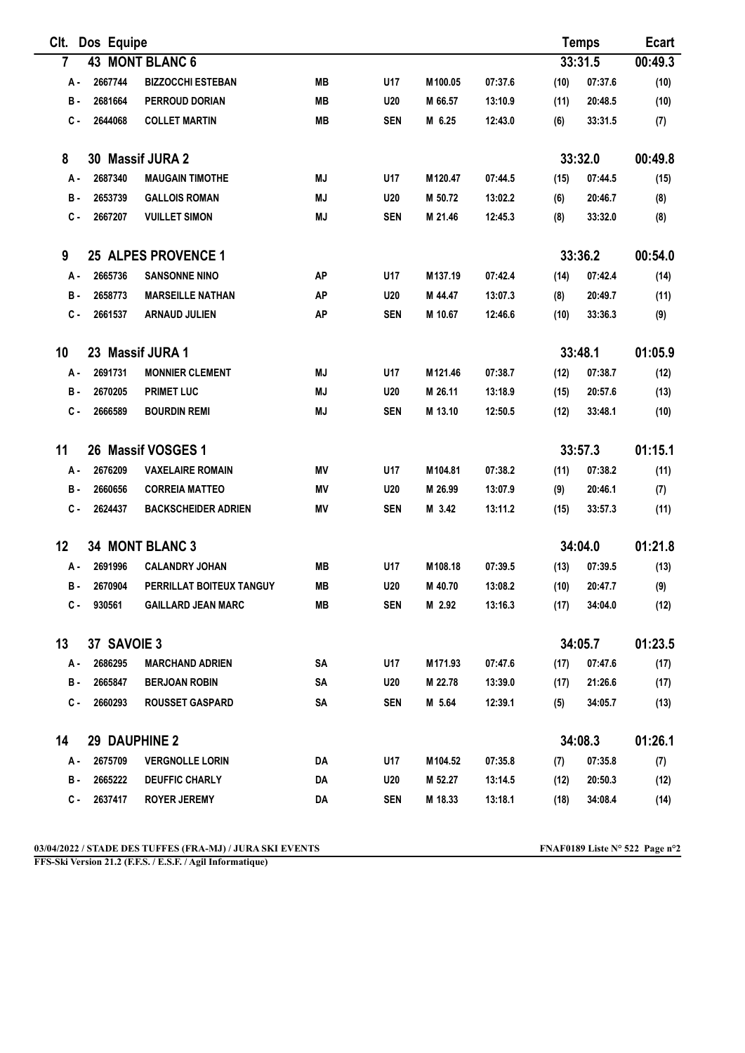| CIt.                     | Dos Equipe          |                            |           |            |                     |         | <b>Temps</b> |         | <b>Ecart</b> |
|--------------------------|---------------------|----------------------------|-----------|------------|---------------------|---------|--------------|---------|--------------|
| 7                        | 43 MONT BLANC 6     |                            |           |            |                     |         |              | 33:31.5 | 00:49.3      |
| А.                       | 2667744             | <b>BIZZOCCHI ESTEBAN</b>   | <b>MB</b> | U17        | M <sub>100.05</sub> | 07:37.6 | (10)         | 07:37.6 | (10)         |
| в.                       | 2681664             | PERROUD DORIAN             | MВ        | <b>U20</b> | M 66.57             | 13:10.9 | (11)         | 20:48.5 | (10)         |
| с.                       | 2644068             | <b>COLLET MARTIN</b>       | MB        | <b>SEN</b> | M 6.25              | 12:43.0 | (6)          | 33:31.5 | (7)          |
| 8                        |                     | 30 Massif JURA 2           |           |            |                     |         |              | 33:32.0 | 00:49.8      |
| А -                      | 2687340             | <b>MAUGAIN TIMOTHE</b>     | ΜJ        | U17        | M120.47             | 07:44.5 | (15)         | 07:44.5 | (15)         |
| в.                       | 2653739             | <b>GALLOIS ROMAN</b>       | ΜJ        | <b>U20</b> | M 50.72             | 13:02.2 | (6)          | 20:46.7 | (8)          |
| $c -$                    | 2667207             | <b>VUILLET SIMON</b>       | MJ        | <b>SEN</b> | M 21.46             | 12:45.3 | (8)          | 33:32.0 | (8)          |
| 9                        | 25 ALPES PROVENCE 1 |                            |           |            |                     |         |              | 33:36.2 | 00:54.0      |
| А.                       | 2665736             | <b>SANSONNE NINO</b>       | AP        | U17        | M137.19             | 07:42.4 | (14)         | 07:42.4 | (14)         |
| в.                       | 2658773             | <b>MARSEILLE NATHAN</b>    | <b>AP</b> | <b>U20</b> | M 44.47             | 13:07.3 | (8)          | 20:49.7 | (11)         |
| $c -$                    | 2661537             | <b>ARNAUD JULIEN</b>       | AP        | <b>SEN</b> | M 10.67             | 12:46.6 | (10)         | 33:36.3 | (9)          |
| 10                       |                     | 23 Massif JURA 1           |           |            |                     |         |              | 33:48.1 | 01:05.9      |
| А -                      | 2691731             | <b>MONNIER CLEMENT</b>     | ΜJ        | U17        | M <sub>121.46</sub> | 07:38.7 | (12)         | 07:38.7 | (12)         |
| в.                       | 2670205             | <b>PRIMET LUC</b>          | ΜJ        | <b>U20</b> | M 26.11             | 13:18.9 | (15)         | 20:57.6 | (13)         |
| с.                       | 2666589             | <b>BOURDIN REMI</b>        | <b>MJ</b> | <b>SEN</b> | M 13.10             | 12:50.5 | (12)         | 33:48.1 | (10)         |
| 11<br>26 Massif VOSGES 1 |                     |                            |           |            |                     |         |              | 33:57.3 | 01:15.1      |
| А.                       | 2676209             | <b>VAXELAIRE ROMAIN</b>    | ΜV        | U17        | M104.81             | 07:38.2 | (11)         | 07:38.2 | (11)         |
| в.                       | 2660656             | <b>CORREIA MATTEO</b>      | ΜV        | <b>U20</b> | M 26.99             | 13:07.9 | (9)          | 20:46.1 | (7)          |
| С.                       | 2624437             | <b>BACKSCHEIDER ADRIEN</b> | ΜV        | <b>SEN</b> | M 3.42              | 13:11.2 | (15)         | 33:57.3 | (11)         |
| 12                       |                     | 34 MONT BLANC 3<br>34:04.0 |           |            |                     |         | 01:21.8      |         |              |
| А.                       | 2691996             | <b>CALANDRY JOHAN</b>      | MВ        | U17        | M108.18             | 07:39.5 | (13)         | 07:39.5 | (13)         |
| в.                       | 2670904             | PERRILLAT BOITEUX TANGUY   | <b>MB</b> | <b>U20</b> | M 40.70             | 13:08.2 | (10)         | 20:47.7 | (9)          |
| С.                       | 930561              | <b>GAILLARD JEAN MARC</b>  | MB        | <b>SEN</b> | M 2.92              | 13:16.3 | (17)         | 34:04.0 | (12)         |
| 13                       | 37 SAVOIE 3         |                            |           |            |                     |         | 34:05.7      |         | 01:23.5      |
| А -                      | 2686295             | <b>MARCHAND ADRIEN</b>     | SA        | U17        | M171.93             | 07:47.6 | (17)         | 07:47.6 | (17)         |
| в.                       | 2665847             | <b>BERJOAN ROBIN</b>       | SA        | <b>U20</b> | M 22.78             | 13:39.0 | (17)         | 21:26.6 | (17)         |
| С.                       | 2660293             | <b>ROUSSET GASPARD</b>     | SA        | <b>SEN</b> | M 5.64              | 12:39.1 | (5)          | 34:05.7 | (13)         |
| 14                       | 29 DAUPHINE 2       |                            |           |            |                     |         |              | 34:08.3 | 01:26.1      |
| А.                       | 2675709             | <b>VERGNOLLE LORIN</b>     | DA        | U17        | M104.52             | 07:35.8 | (7)          | 07:35.8 | (7)          |
| <b>B</b> -               | 2665222             | <b>DEUFFIC CHARLY</b>      | DA        | <b>U20</b> | M 52.27             | 13:14.5 | (12)         | 20:50.3 | (12)         |
| С.                       | 2637417             | <b>ROYER JEREMY</b>        | DA        | <b>SEN</b> | M 18.33             | 13:18.1 | (18)         | 34:08.4 | (14)         |

FFS-Ski Version 21.2 (F.F.S. / E.S.F. / Agil Informatique)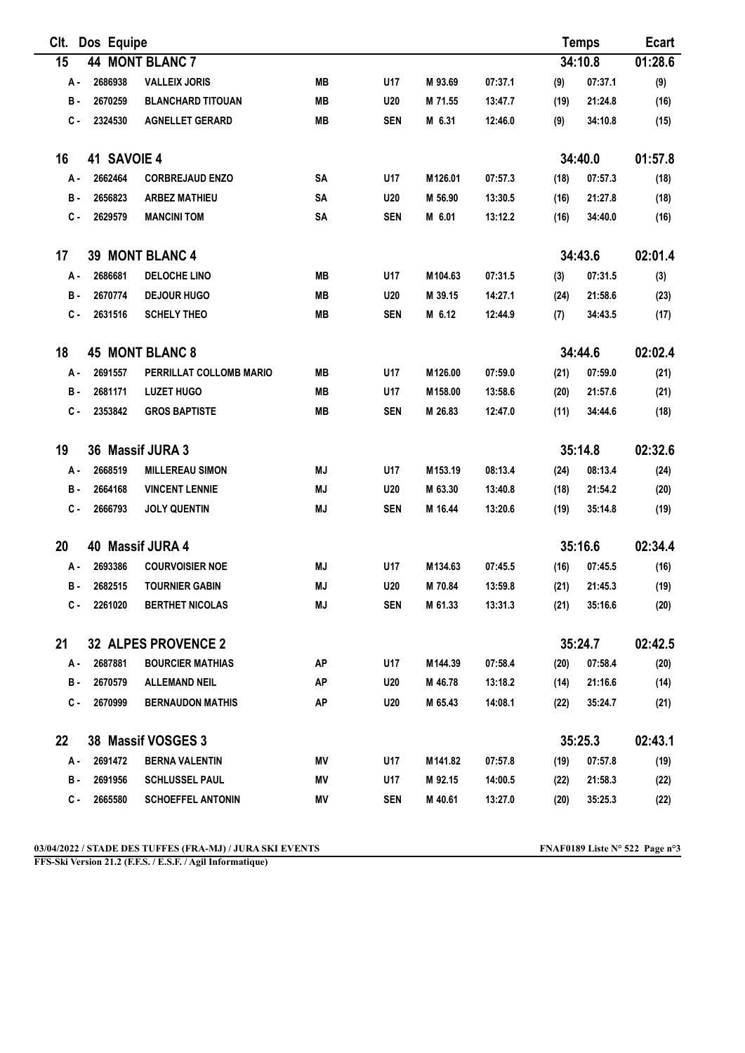| CIt.                   | Dos Equipe                 |                               |           |            |         |         | <b>Temps</b> |         | <b>Ecart</b> |
|------------------------|----------------------------|-------------------------------|-----------|------------|---------|---------|--------------|---------|--------------|
| 15                     | 44 MONT BLANC 7            |                               |           |            |         | 34:10.8 | 01:28.6      |         |              |
| А.                     | 2686938                    | <b>VALLEIX JORIS</b>          | MВ        | U17        | M 93.69 | 07:37.1 | (9)          | 07:37.1 | (9)          |
| <b>B</b> -             | 2670259                    | <b>BLANCHARD TITOUAN</b>      | <b>MB</b> | U20        | M 71.55 | 13:47.7 | (19)         | 21:24.8 | (16)         |
| c.                     | 2324530                    | <b>AGNELLET GERARD</b>        | <b>MB</b> | <b>SEN</b> | M 6.31  | 12:46.0 | (9)          | 34:10.8 | (15)         |
| 16                     | 41 SAVOIE 4                |                               |           |            |         |         |              | 34:40.0 | 01:57.8      |
| A -                    | 2662464                    | <b>CORBREJAUD ENZO</b>        | SΑ        | U17        | M126.01 | 07:57.3 | (18)         | 07:57.3 | (18)         |
| в.                     | 2656823                    | <b>ARBEZ MATHIEU</b>          | SΑ        | U20        | M 56.90 | 13:30.5 | (16)         | 21:27.8 | (18)         |
| $c -$                  | 2629579                    | <b>MANCINI TOM</b>            | <b>SA</b> | <b>SEN</b> | M 6.01  | 13:12.2 | (16)         | 34:40.0 | (16)         |
| 17                     | 39 MONT BLANC 4            |                               |           |            |         |         |              | 34:43.6 | 02:01.4      |
| А.                     | 2686681                    | <b>DELOCHE LINO</b>           | MВ        | U17        | M104.63 | 07:31.5 | (3)          | 07:31.5 | (3)          |
| в.                     | 2670774                    | <b>DEJOUR HUGO</b>            | <b>MB</b> | U20        | M 39.15 | 14:27.1 | (24)         | 21:58.6 | (23)         |
| $c -$                  | 2631516                    | <b>SCHELY THEO</b>            | <b>MB</b> | <b>SEN</b> | M 6.12  | 12:44.9 | (7)          | 34:43.5 | (17)         |
| 18                     |                            | <b>45 MONT BLANC 8</b>        |           |            |         | 34:44.6 | 02:02.4      |         |              |
| А.                     | 2691557                    | PERRILLAT COLLOMB MARIO       | MВ        | U17        | M126.00 | 07:59.0 | (21)         | 07:59.0 | (21)         |
| в.                     | 2681171                    | <b>LUZET HUGO</b>             | MВ        | U17        | M158.00 | 13:58.6 | (20)         | 21:57.6 | (21)         |
| с.                     | 2353842                    | <b>GROS BAPTISTE</b>          | <b>MB</b> | <b>SEN</b> | M 26.83 | 12:47.0 | (11)         | 34:44.6 | (18)         |
| 19<br>36 Massif JURA 3 |                            |                               |           |            |         |         |              | 35:14.8 | 02:32.6      |
| А.                     | 2668519                    | <b>MILLEREAU SIMON</b>        | ΜJ        | U17        | M153.19 | 08:13.4 | (24)         | 08:13.4 | (24)         |
| в.                     | 2664168                    | <b>VINCENT LENNIE</b>         | ΜJ        | <b>U20</b> | M 63.30 | 13:40.8 | (18)         | 21:54.2 | (20)         |
| С.                     | 2666793                    | <b>JOLY QUENTIN</b>           | <b>MJ</b> | <b>SEN</b> | M 16.44 | 13:20.6 | (19)         | 35:14.8 | (19)         |
| 20                     |                            | 40 Massif JURA 4              |           |            |         |         | 35:16.6      |         |              |
| А.                     | 2693386                    | <b>COURVOISIER NOE</b>        | ΜJ        | U17        | M134.63 | 07:45.5 | (16)         | 07:45.5 | (16)         |
| в.                     | 2682515                    | <b>TOURNIER GABIN</b>         | <b>MJ</b> | U20        | M 70.84 | 13:59.8 | (21)         | 21:45.3 | (19)         |
| с.                     | 2261020                    | <b>BERTHET NICOLAS</b>        | MJ        | <b>SEN</b> | M 61.33 | 13:31.3 | (21)         | 35:16.6 | (20)         |
| 21                     | <b>32 ALPES PROVENCE 2</b> |                               |           |            |         |         | 35:24.7      |         | 02:42.5      |
| А-                     | 2687881                    | <b>BOURCIER MATHIAS</b>       | AP        | U17        | M144.39 | 07:58.4 | (20)         | 07:58.4 | (20)         |
| в.                     | 2670579                    | <b>ALLEMAND NEIL</b>          | <b>AP</b> | <b>U20</b> | M 46.78 | 13:18.2 | (14)         | 21:16.6 | (14)         |
| c.                     | 2670999                    | <b>BERNAUDON MATHIS</b>       | ΑP        | U20        | M 65.43 | 14:08.1 | (22)         | 35:24.7 | (21)         |
| 22                     |                            | 38 Massif VOSGES 3<br>35:25.3 |           |            | 02:43.1 |         |              |         |              |
| А -                    | 2691472                    | <b>BERNA VALENTIN</b>         | ΜV        | U17        | M141.82 | 07:57.8 | (19)         | 07:57.8 | (19)         |
| в.                     | 2691956                    | <b>SCHLUSSEL PAUL</b>         | ΜV        | U17        | M 92.15 | 14:00.5 | (22)         | 21:58.3 | (22)         |
| С.                     | 2665580                    | <b>SCHOEFFEL ANTONIN</b>      | ΜV        | <b>SEN</b> | M 40.61 | 13:27.0 | (20)         | 35:25.3 | (22)         |

FFS-Ski Version 21.2 (F.F.S. / E.S.F. / Agil Informatique)